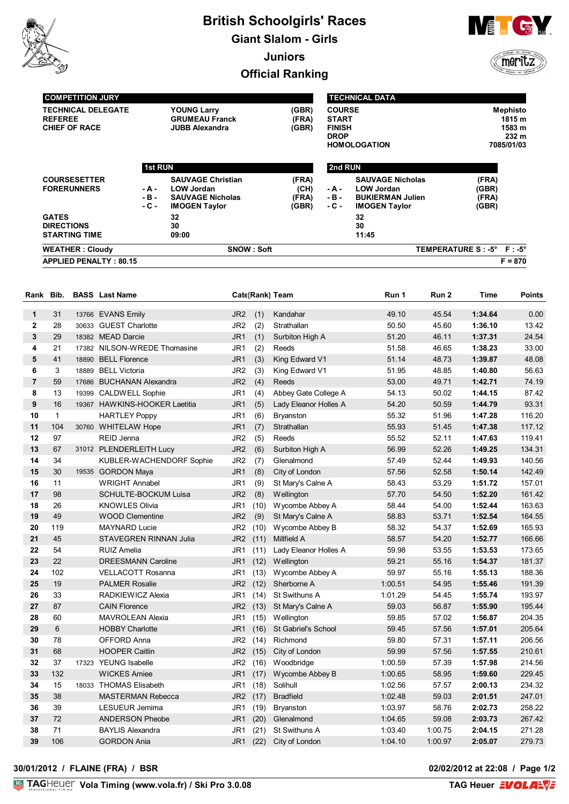

# **British Schoolgirls' Races Giant Slalom - Girls Juniors Official Ranking**



meritz

| <b>COMPETITION JURY</b><br><b>TECHNICAL DELEGATE</b><br><b>REFEREE</b><br><b>CHIEF OF RACE</b> |                  | <b>YOUNG Larry</b><br><b>GRUMEAU Franck</b><br><b>JUBB Alexandra</b> | (GBR)<br>(FRA)<br>(GBR) |                  | <b>TECHNICAL DATA</b><br><b>COURSE</b><br><b>START</b><br><b>FINISH</b><br><b>DROP</b><br><b>HOMOLOGATION</b> |                           | <b>Mephisto</b><br>1815 m<br>1583 m<br>232 m<br>7085/01/03 |  |
|------------------------------------------------------------------------------------------------|------------------|----------------------------------------------------------------------|-------------------------|------------------|---------------------------------------------------------------------------------------------------------------|---------------------------|------------------------------------------------------------|--|
|                                                                                                | <b>1st RUN</b>   |                                                                      |                         | 2nd RUN          |                                                                                                               |                           |                                                            |  |
| <b>COURSESETTER</b><br><b>FORERUNNERS</b>                                                      | $-A -$           | <b>SAUVAGE Christian</b><br><b>LOW Jordan</b>                        | (FRA)<br>(CH)           | - A -            | <b>SAUVAGE Nicholas</b><br><b>LOW Jordan</b>                                                                  | (FRA)<br>(GBR)            |                                                            |  |
|                                                                                                | $-B -$<br>$-C -$ | <b>SAUVAGE Nicholas</b><br><b>IMOGEN Taylor</b>                      | (FRA)<br>(GBR)          | $-B -$<br>$-C -$ | <b>BUKIERMAN Julien</b><br><b>IMOGEN Taylor</b>                                                               | (FRA)<br>(GBR)            |                                                            |  |
| <b>GATES</b><br><b>DIRECTIONS</b>                                                              |                  | 32<br>30                                                             |                         |                  | 32<br>30                                                                                                      |                           |                                                            |  |
| <b>STARTING TIME</b>                                                                           |                  | 09:00                                                                |                         |                  | 11:45                                                                                                         |                           |                                                            |  |
| <b>WEATHER: Cloudy</b>                                                                         |                  | <b>SNOW: Soft</b>                                                    |                         |                  |                                                                                                               | TEMPERATURE S: -5° F: -5° |                                                            |  |
| <b>APPLIED PENALTY: 80.15</b>                                                                  |                  |                                                                      |                         |                  |                                                                                                               |                           | $F = 870$                                                  |  |

| Rank           | Bib.         |       | <b>BASS</b> Last Name         |                 |          | Cate(Rank) Team       | Run 1   | Run 2   | Time    | <b>Points</b> |
|----------------|--------------|-------|-------------------------------|-----------------|----------|-----------------------|---------|---------|---------|---------------|
| 1              | 31           |       | 13766 EVANS Emily             | JR <sub>2</sub> | (1)      | Kandahar              | 49.10   | 45.54   | 1:34.64 | 0.00          |
| $\mathbf{2}$   | 28           |       | 30633 GUEST Charlotte         | JR <sub>2</sub> | (2)      | Strathallan           | 50.50   | 45.60   | 1:36.10 | 13.42         |
| 3              | 29           |       | 18382 MEAD Darcie             | JR <sub>1</sub> | (1)      | Surbiton High A       | 51.20   | 46.11   | 1:37.31 | 24.54         |
| 4              | 21           |       | 17382 NILSON-WREDE Thomasine  | JR1             | (2)      | Reeds                 | 51.58   | 46.65   | 1:38.23 | 33.00         |
| 5              | 41           |       | 18890 BELL Florence           | JR <sub>1</sub> | (3)      | King Edward V1        | 51.14   | 48.73   | 1:39.87 | 48.08         |
| 6              | 3            |       | 18889 BELL Victoria           | JR <sub>2</sub> | (3)      | King Edward V1        | 51.95   | 48.85   | 1:40.80 | 56.63         |
| $\overline{7}$ | 59           |       | 17686 BUCHANAN Alexandra      | JR <sub>2</sub> | (4)      | Reeds                 | 53.00   | 49.71   | 1:42.71 | 74.19         |
| 8              | 13           | 19399 | <b>CALDWELL Sophie</b>        | JR <sub>1</sub> | (4)      | Abbey Gate College A  | 54.13   | 50.02   | 1:44.15 | 87.42         |
| 9              | 16           |       | 19367 HAWKINS-HOOKER Laetitia | JR <sub>1</sub> | (5)      | Lady Eleanor Holles A | 54.20   | 50.59   | 1:44.79 | 93.31         |
| 10             | $\mathbf{1}$ |       | <b>HARTLEY Poppy</b>          | JR1             | (6)      | <b>Bryanston</b>      | 55.32   | 51.96   | 1:47.28 | 116.20        |
| 11             | 104          |       | 30760 WHITELAW Hope           | JR <sub>1</sub> | (7)      | Strathallan           | 55.93   | 51.45   | 1:47.38 | 117.12        |
| 12             | 97           |       | REID Jenna                    | JR <sub>2</sub> | (5)      | Reeds                 | 55.52   | 52.11   | 1:47.63 | 119.41        |
| 13             | 67           |       | 31012 PLENDERLEITH Lucy       | JR <sub>2</sub> | (6)      | Surbiton High A       | 56.99   | 52.26   | 1:49.25 | 134.31        |
| 14             | 34           |       | KUBLER-WACHENDORF Sophie      | JR <sub>2</sub> | (7)      | Glenalmond            | 57.49   | 52.44   | 1:49.93 | 140.56        |
| 15             | 30           |       | 19535 GORDON Maya             | JR <sub>1</sub> | (8)      | City of London        | 57.56   | 52.58   | 1:50.14 | 142.49        |
| 16             | 11           |       | <b>WRIGHT Annabel</b>         | JR1             | (9)      | St Mary's Calne A     | 58.43   | 53.29   | 1:51.72 | 157.01        |
| 17             | 98           |       | <b>SCHULTE-BOCKUM Luisa</b>   | JR <sub>2</sub> | (8)      | Wellington            | 57.70   | 54.50   | 1:52.20 | 161.42        |
| 18             | 26           |       | <b>KNOWLES Olivia</b>         | JR1             | (10)     | Wycombe Abbey A       | 58.44   | 54.00   | 1:52.44 | 163.63        |
| 19             | 49           |       | <b>WOOD Clementine</b>        | JR <sub>2</sub> | (9)      | St Mary's Calne A     | 58.83   | 53.71   | 1:52.54 | 164.55        |
| 20             | 119          |       | <b>MAYNARD Lucie</b>          | JR <sub>2</sub> | (10)     | Wycombe Abbey B       | 58.32   | 54.37   | 1:52.69 | 165.93        |
| 21             | 45           |       | <b>STAVEGREN RINNAN Julia</b> | JR <sub>2</sub> | (11)     | Millfield A           | 58.57   | 54.20   | 1:52.77 | 166.66        |
| 22             | 54           |       | <b>RUIZ Amelia</b>            | JR <sub>1</sub> | (11)     | Lady Eleanor Holles A | 59.98   | 53.55   | 1:53.53 | 173.65        |
| 23             | 22           |       | <b>DREESMANN Caroline</b>     | JR <sub>1</sub> | (12)     | <b>Wellington</b>     | 59.21   | 55.16   | 1:54.37 | 181.37        |
| 24             | 102          |       | <b>VELLACOTT Rosanna</b>      | JR1             | (13)     | Wycombe Abbey A       | 59.97   | 55.16   | 1:55.13 | 188.36        |
| 25             | 19           |       | <b>PALMER Rosalie</b>         | JR <sub>2</sub> | (12)     | Sherborne A           | 1:00.51 | 54.95   | 1:55.46 | 191.39        |
| 26             | 33           |       | RADKIEWICZ Alexia             | JR1             | (14)     | St Swithuns A         | 1:01.29 | 54.45   | 1:55.74 | 193.97        |
| 27             | 87           |       | <b>CAIN Florence</b>          | JR <sub>2</sub> | (13)     | St Mary's Calne A     | 59.03   | 56.87   | 1:55.90 | 195.44        |
| 28             | 60           |       | <b>MAVROLEAN Alexia</b>       | JR1             | (15)     | <b>Wellington</b>     | 59.85   | 57.02   | 1:56.87 | 204.35        |
| 29             | 6            |       | <b>HOBBY Charlotte</b>        | JR1             | (16)     | St Gabriel's School   | 59.45   | 57.56   | 1:57.01 | 205.64        |
| 30             | 78           |       | OFFORD Anna                   | JR <sub>2</sub> | (14)     | Richmond              | 59.80   | 57.31   | 1:57.11 | 206.56        |
| 31             | 68           |       | <b>HOOPER Caitlin</b>         |                 | JR2 (15) | City of London        | 59.99   | 57.56   | 1:57.55 | 210.61        |
| 32             | 37           |       | 17323 YEUNG Isabelle          | JR <sub>2</sub> | (16)     | Woodbridge            | 1:00.59 | 57.39   | 1:57.98 | 214.56        |
| 33             | 132          |       | <b>WICKES Amiee</b>           | JR <sub>1</sub> | (17)     | Wycombe Abbey B       | 1:00.65 | 58.95   | 1:59.60 | 229.45        |
| 34             | 15           |       | 18033 THOMAS Elisabeth        | JR1             | (18)     | Solihull              | 1:02.56 | 57.57   | 2:00.13 | 234.32        |
| 35             | 38           |       | <b>MASTERMAN Rebecca</b>      | JR <sub>2</sub> | (17)     | <b>Bradfield</b>      | 1:02.48 | 59.03   | 2:01.51 | 247.01        |
| 36             | 39           |       | LESUEUR Jemima                | JR1             | (19)     | <b>Bryanston</b>      | 1:03.97 | 58.76   | 2:02.73 | 258.22        |
| 37             | 72           |       | <b>ANDERSON Pheobe</b>        | JR1             | (20)     | Glenalmond            | 1:04.65 | 59.08   | 2:03.73 | 267.42        |
| 38             | 71           |       | <b>BAYLIS Alexandra</b>       | JR1             | (21)     | St Swithuns A         | 1:03.40 | 1:00.75 | 2:04.15 | 271.28        |
| 39             | 106          |       | <b>GORDON Ania</b>            | JR1             | (22)     | City of London        | 1:04.10 | 1:00.97 | 2:05.07 | 279.73        |

#### **30/01/2012 / FLAINE (FRA) / BSR 02/02/2012 at 22:08 / Page 1/2**

**02/02/2012 at 22:08 / Page 1/2<br>TAG Heuer EVOLAEVE**